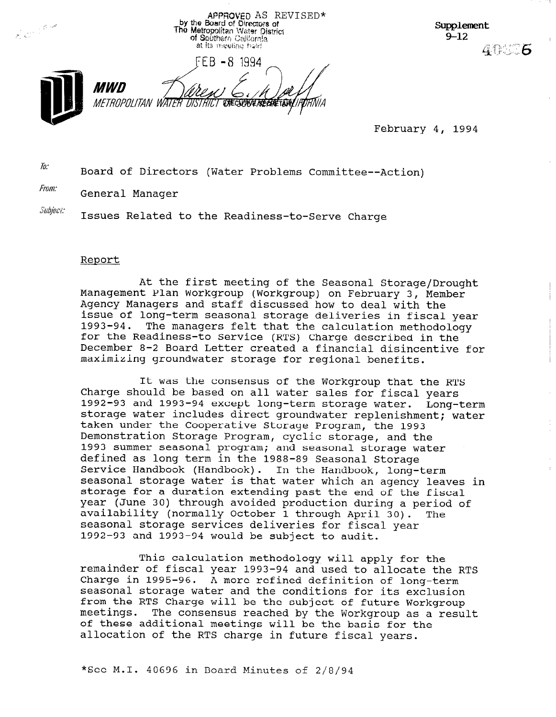APPROVED AS REVISED\*<br>by the Board of Directors of<br>The Metropolitan Water District of Southern Cellfornia at its meeting hald



Supplement  $9 - 12$ **400 6** 

February 4, 1994

 $\bar{h}$ : Board of Directors (Water Problems Committee--Action)

From: General Manager

Subiect: Issues Related to the Readiness-to-Serve Charge

### Report

At the first meeting of the Seasonal Storage/Drought Management Plan Workgroup (Workgroup) on February 3, Member Agency Managers and staff discussed how to deal with the issue of long-term seasonal storage deliveries in fiscal year 1993-94. The managers felt that the calculation methodology for the Readiness-to Service (RTS) Charge described in the December 8-2 Board Letter created a financial disincentive for maximizing groundwater storage for regional benefits.

It was the consensus of the Workgroup that the RTS Charge should be based on all water sales for fiscal years 1992-93 and 1993-94 except long-term storage water. Long-term storage water includes direct groundwater replenishment; water taken under the Cooperative Storage Program, the 1993 Demonstration Storage Program, cyclic storage, and the 1993 summer seasonal program; and seasonal storage water defined as long term in the 1988-89 Seasonal Storage Service Handbook (Handbook). In the Handbook, long-term seasonal storage water is that water which an agency leaves in storage for a duration extending past the end of the fiscal year (June 30) through avoided production during a period of availability (normally October 1 through April 30). The seasonal storage services deliveries for fiscal year 1992-93 and 1993-94 would be subject to audit.

This calculation methodology will apply for the remainder of fiscal year 1992-94 and used to allocate the RTS Charge in 1995-96. A more refined definition of long-term Charge in 1995-96. A more refined definition of long-term<br>seasonal storage water and the conditions for its exclusion seasonal storage water and the conditions for fus exclusions. meetings. The consensus reached by the Workgroup as a result of the Workgroup meetings. The consensus reached by the Workgroup as a result of these additional meetings will be the basis for the<br>allocation of the RTS charge in future fiscal years.